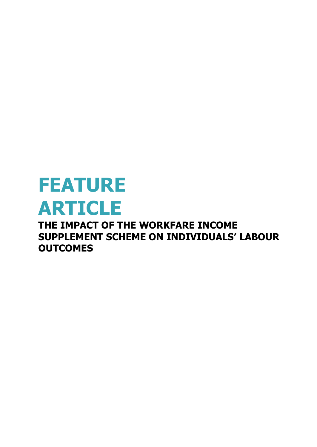# **FEATURE ARTICLE THE IMPACT OF THE WORKFARE INCOME**

**SUPPLEMENT SCHEME ON INDIVIDUALS' LABOUR OUTCOMES**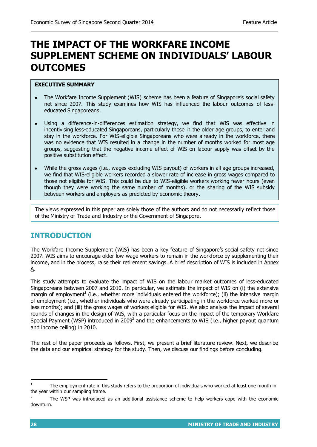## **THE IMPACT OF THE WORKFARE INCOME SUPPLEMENT SCHEME ON INDIVIDUALS' LABOUR OUTCOMES**

#### **EXECUTIVE SUMMARY**

- The Workfare Income Supplement (WIS) scheme has been a feature of Singapore's social safety net since 2007. This study examines how WIS has influenced the labour outcomes of lesseducated Singaporeans.
- Using a difference-in-differences estimation strategy, we find that WIS was effective in incentivising less-educated Singaporeans, particularly those in the older age groups, to enter and stay in the workforce. For WIS-eligible Singaporeans who were already in the workforce, there was no evidence that WIS resulted in a change in the number of months worked for most age groups, suggesting that the negative income effect of WIS on labour supply was offset by the positive substitution effect.
- While the gross wages (i.e., wages excluding WIS payout) of workers in all age groups increased, we find that WIS-eligible workers recorded a slower rate of increase in gross wages compared to those not eligible for WIS. This could be due to WIS-eligible workers working fewer hours (even though they were working the same number of months), or the sharing of the WIS subsidy between workers and employers as predicted by economic theory.

The views expressed in this paper are solely those of the authors and do not necessarily reflect those of the Ministry of Trade and Industry or the Government of Singapore.

## **INTRODUCTION**

The Workfare Income Supplement (WIS) has been a key feature of Singapore's social safety net since 2007. WIS aims to encourage older low-wage workers to remain in the workforce by supplementing their income, and in the process, raise their retirement savings. A brief description of WIS is included in Annex A.

This study attempts to evaluate the impact of WIS on the labour market outcomes of less-educated Singaporeans between 2007 and 2010. In particular, we estimate the impact of WIS on (i) the extensive margin of employment<sup>1</sup> (i.e., whether more individuals entered the workforce); (ii) the intensive margin of employment (i.e., whether individuals who were already participating in the workforce worked more or less months); and (iii) the gross wages of workers eligible for WIS. We also analyse the impact of several rounds of changes in the design of WIS, with a particular focus on the impact of the temporary Workfare Special Payment (WSP) introduced in 2009<sup>2</sup> and the enhancements to WIS (i.e., higher payout quantum and income ceiling) in 2010.

The rest of the paper proceeds as follows. First, we present a brief literature review. Next, we describe the data and our empirical strategy for the study. Then, we discuss our findings before concluding.

l

<sup>1</sup> The employment rate in this study refers to the proportion of individuals who worked at least one month in the year within our sampling frame.

<sup>2</sup> The WSP was introduced as an additional assistance scheme to help workers cope with the economic downturn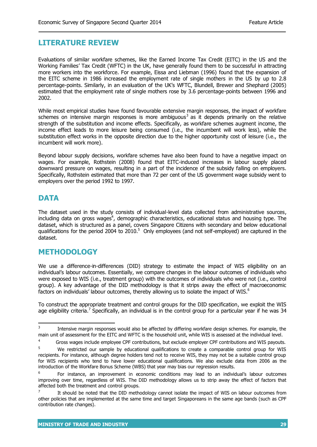## **LITERATURE REVIEW**

Evaluations of similar workfare schemes, like the Earned Income Tax Credit (EITC) in the US and the Working Families' Tax Credit (WFTC) in the UK, have generally found them to be successful in attracting more workers into the workforce. For example, Eissa and Liebman (1996) found that the expansion of the EITC scheme in 1986 increased the employment rate of single mothers in the US by up to 2.8 percentage-points. Similarly, in an evaluation of the UK's WFTC, Blundell, Brewer and Shephard (2005) estimated that the employment rate of single mothers rose by 3.6 percentage-points between 1996 and 2002.

While most empirical studies have found favourable extensive margin responses, the impact of workfare schemes on intensive margin responses is more ambiguous<sup>3</sup> as it depends primarily on the relative strength of the substitution and income effects. Specifically, as workfare schemes augment income, the income effect leads to more leisure being consumed (i.e., the incumbent will work less), while the substitution effect works in the opposite direction due to the higher opportunity cost of leisure (i.e., the incumbent will work more).

Beyond labour supply decisions, workfare schemes have also been found to have a negative impact on wages. For example, Rothstein (2008) found that EITC-induced increases in labour supply placed downward pressure on wages, resulting in a part of the incidence of the subsidy falling on employers. Specifically, Rothstein estimated that more than 72 per cent of the US government wage subsidy went to employers over the period 1992 to 1997.

## **DATA**

The dataset used in the study consists of individual-level data collected from administrative sources, including data on gross wages<sup>4</sup>, demographic characteristics, educational status and housing type. The dataset, which is structured as a panel, covers Singapore Citizens with secondary and below educational qualifications for the period 2004 to 2010.<sup>5</sup> Only employees (and not self-employed) are captured in the dataset.

### **METHODOLOGY**

We use a difference-in-differences (DID) strategy to estimate the impact of WIS eligibility on an individual's labour outcomes. Essentially, we compare changes in the labour outcomes of individuals who were exposed to WIS (i.e., treatment group) with the outcomes of individuals who were not (i.e., control group). A key advantage of the DID methodology is that it strips away the effect of macroeconomic factors on individuals' labour outcomes, thereby allowing us to isolate the impact of WIS.<sup>6</sup>

To construct the appropriate treatment and control groups for the DID specification, we exploit the WIS age eligibility criteria.<sup>7</sup> Specifically, an individual is in the control group for a particular year if he was 34

 $\frac{1}{3}$ Intensive margin responses would also be affected by differing workfare design schemes. For example, the main unit of assessment for the EITC and WFTC is the household unit, while WIS is assessed at the individual level.

<sup>&</sup>lt;sup>4</sup> Gross wages include employee CPF contributions, but exclude employer CPF contributions and WIS payouts.

<sup>&</sup>lt;sup>5</sup> We restricted our sample by educational qualifications to create a comparable control group for WIS recipients. For instance, although degree holders tend not to receive WIS, they may not be a suitable control group for WIS recipients who tend to have lower educational qualifications. We also exclude data from 2006 as the introduction of the Workfare Bonus Scheme (WBS) that year may bias our regression results.

<sup>6</sup> For instance, an improvement in economic conditions may lead to an individual's labour outcomes improving over time, regardless of WIS. The DID methodology allows us to strip away the effect of factors that affected both the treatment and control groups.

<sup>7</sup> It should be noted that the DID methodology cannot isolate the impact of WIS on labour outcomes from other policies that are implemented at the same time and target Singaporeans in the same age bands (such as CPF contribution rate changes).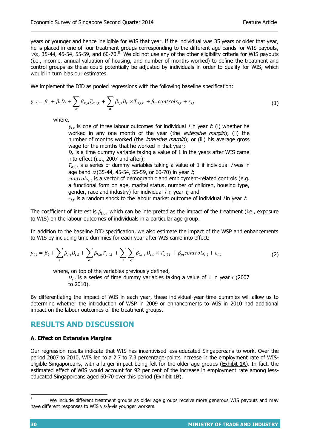years or younger and hence ineligible for WIS that year. If the individual was 35 years or older that year, he is placed in one of four treatment groups corresponding to the different age bands for WIS payouts,  $viz$ , 35-44, 45-54, 55-59, and 60-70. $8<sup>°</sup>$  We did not use any of the other eligibility criteria for WIS payouts (i.e., income, annual valuation of housing, and number of months worked) to define the treatment and control groups as these could potentially be adjusted by individuals in order to qualify for WIS, which would in turn bias our estimates.

We implement the DID as pooled regressions with the following baseline specification:

$$
y_{i,t} = \beta_0 + \beta_1 D_t + \sum_{\sigma} \beta_{k,\sigma} T_{\sigma,i,t} + \sum_{\sigma} \beta_{l,\sigma} D_t \times T_{\sigma,i,t} + \beta_m controls_{i,t} + \varepsilon_{i,t}
$$
(1)

where,

 $y_{i,t}$  is one of three labour outcomes for individual *i* in year t: (i) whether he worked in any one month of the year (the extensive margin); (ii) the number of months worked (the *intensive margin*); or (iii) his average gross wage for the months that he worked in that year;

 $D_t$  is a time dummy variable taking a value of 1 in the years after WIS came into effect (i.e., 2007 and after);

 $T_{\sigma,i,t}$  is a series of dummy variables taking a value of 1 if individual *i* was in age band  $\sigma$  (35-44, 45-54, 55-59, or 60-70) in year t;

 $controls_{it}$  is a vector of demographic and employment-related controls (e.g. a functional form on age, marital status, number of children, housing type, gender, race and industry) for individual  $i$  in year  $t$ , and

 $\varepsilon_{i,t}$  is a random shock to the labour market outcome of individual *i* in year t.

The coefficient of interest is  $\beta_{l,\sigma}$ , which can be interpreted as the impact of the treatment (i.e., exposure to WIS) on the labour outcomes of individuals in a particular age group.

In addition to the baseline DID specification, we also estimate the impact of the WSP and enhancements to WIS by including time dummies for each year after WIS came into effect:

$$
y_{i,t} = \beta_0 + \sum_{\tau} \beta_{j,\tau} D_{\tau,t} + \sum_{\sigma} \beta_{k,\sigma} T_{\sigma,i,t} + \sum_{\tau} \sum_{\sigma} \beta_{l,\tau,\sigma} D_{\tau,t} \times T_{\sigma,i,t} + \beta_m controls_{i,t} + \varepsilon_{i,t}
$$
(2)

where, on top of the variables previously defined,  $D_{\tau,t}$  is a series of time dummy variables taking a value of 1 in year  $\tau$  (2007 to 2010).

By differentiating the impact of WIS in each year, these individual-year time dummies will allow us to determine whether the introduction of WSP in 2009 or enhancements to WIS in 2010 had additional impact on the labour outcomes of the treatment groups.

## **RESULTS AND DISCUSSION**

#### **A. Effect on Extensive Margins**

Our regression results indicate that WIS has incentivised less-educated Singaporeans to work. Over the period 2007 to 2010, WIS led to a 2.7 to 7.3 percentage-points increase in the employment rate of WISeligible Singaporeans, with a larger impact being felt for the older age groups (Exhibit 1A). In fact, the estimated effect of WIS would account for 92 per cent of the increase in employment rate among lesseducated Singaporeans aged 60-70 over this period (Exhibit 1B).

<sup>8</sup> We include different treatment groups as older age groups receive more generous WIS payouts and may have different responses to WIS vis-à-vis younger workers.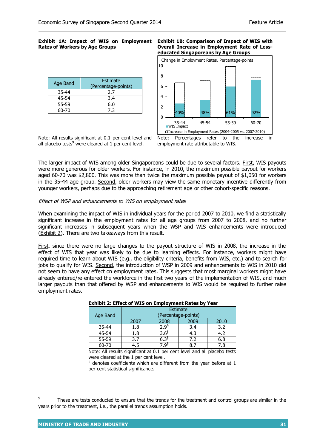#### **Exhibit 1A: Impact of WIS on Employment Rates of Workers by Age Groups**

| Age Band | Estimate<br>(Percentage-points) |
|----------|---------------------------------|
| 35-44    | 2.7                             |
| 45-54    | 3.4                             |
| 55-59    | 6.0                             |
| 60-70    | ᄀ ੨                             |

#### **Exhibit 1B: Comparison of Impact of WIS with Overall Increase in Employment Rate of Lesseducated Singaporeans by Age Groups**



Note: All results significant at 0.1 per cent level and all placebo tests<sup>9</sup> were cleared at 1 per cent level.

Note: Percentages refer to the increase in employment rate attributable to WIS.

The larger impact of WIS among older Singaporeans could be due to several factors. First, WIS payouts were more generous for older workers. For instance, in 2010, the maximum possible payout for workers aged 60-70 was \$2,800. This was more than twice the maximum possible payout of \$1,050 for workers in the 35-44 age group. Second, older workers may view the same monetary incentive differently from younger workers, perhaps due to the approaching retirement age or other cohort-specific reasons.

#### Effect of WSP and enhancements to WIS on employment rates

When examining the impact of WIS in individual years for the period 2007 to 2010, we find a statistically significant increase in the employment rates for all age groups from 2007 to 2008, and no further significant increases in subsequent years when the WSP and WIS enhancements were introduced (Exhibit 2). There are two takeaways from this result.

First, since there were no large changes to the payout structure of WIS in 2008, the increase in the effect of WIS that year was likely to be due to learning effects. For instance, workers might have required time to learn about WIS (e.g., the eligibility criteria, benefits from WIS, etc.) and to search for jobs to qualify for WIS. Second, the introduction of WSP in 2009 and enhancements to WIS in 2010 did not seem to have any effect on employment rates. This suggests that most marginal workers might have already entered/re-entered the workforce in the first two years of the implementation of WIS, and much larger payouts than that offered by WSP and enhancements to WIS would be required to further raise employment rates.

|          | Estimate            |                  |      |      |  |
|----------|---------------------|------------------|------|------|--|
| Age Band | (Percentage-points) |                  |      |      |  |
|          | 2007                | 2008             | 2009 | 2010 |  |
| 35-44    | 1.8                 | 2.9 <sup>6</sup> | 3.4  | 3.2  |  |
| 45-54    | 1.8                 | 3.6 <sup>§</sup> | 4.3  | 4.2  |  |
| 55-59    | 3.7                 | -29              | 7.2  | 6.8  |  |
| 60-70    | 4.5                 | O3               |      | 7.8  |  |

#### **Exhibit 2: Effect of WIS on Employment Rates by Year**

Note: All results significant at 0.1 per cent level and all placebo tests were cleared at the 1 per cent level.

 $\frac{1}{3}$  denotes coefficients which are different from the year before at 1 per cent statistical significance.

<sup>-&</sup>lt;br>9 These are tests conducted to ensure that the trends for the treatment and control groups are similar in the years prior to the treatment, i.e., the parallel trends assumption holds.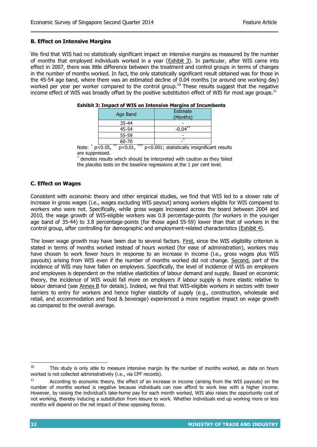#### **B. Effect on Intensive Margins**

We find that WIS had no statistically significant impact on intensive margins as measured by the number of months that employed individuals worked in a year (Exhibit 3). In particular, after WIS came into effect in 2007, there was little difference between the treatment and control groups in terms of changes in the number of months worked. In fact, the only statistically significant result obtained was for those in the 45-54 age band, where there was an estimated decline of 0.04 months (or around one working day) worked per year per worker compared to the control group.<sup>10</sup> These results suggest that the negative income effect of WIS was broadly offset by the positive substitution effect of WIS for most age groups.<sup>11</sup>

| Age Band                                      | Estimate<br>(Months)             |  |  |
|-----------------------------------------------|----------------------------------|--|--|
| 35-44                                         |                                  |  |  |
| 45-54                                         | $-0.04***$                       |  |  |
| 55-59                                         |                                  |  |  |
| 60-70                                         |                                  |  |  |
| $**$<br>$***$<br>- --<br>$\sim$ $\sim$ $\sim$ | .<br>$\cdot$ $\sim$<br>.<br>---- |  |  |

|  | <b>Exhibit 3: Impact of WIS on Intensive Margins of Incumbents</b> |
|--|--------------------------------------------------------------------|
|  |                                                                    |

Note:  $*$  p<0.05,  $p$ <0.01, \*\*\*  $p$ <0.001; statistically insignificant results are suppressed.

denotes results which should be interpreted with caution as they failed the placebo tests on the baseline regressions at the 1 per cent level.

#### **C. Effect on Wages**

Consistent with economic theory and other empirical studies, we find that WIS led to a slower rate of increase in gross wages (i.e., wages excluding WIS payout) among workers eligible for WIS compared to workers who were not. Specifically, while gross wages increased across the board between 2004 and 2010, the wage growth of WIS-eligible workers was 0.8 percentage-points (for workers in the younger age band of 35-44) to 3.8 percentage-points (for those aged 55-59) lower than that of workers in the control group, after controlling for demographic and employment-related characteristics (Exhibit 4).

The lower wage growth may have been due to several factors. First, since the WIS eligibility criterion is stated in terms of months worked instead of hours worked (for ease of administration), workers may have chosen to work fewer hours in response to an increase in income (i.e., gross wages plus WIS payouts) arising from WIS even if the number of months worked did not change. Second, part of the incidence of WIS may have fallen on employers. Specifically, the level of incidence of WIS on employers and employees is dependent on the relative elasticities of labour demand and supply. Based on economic theory, the incidence of WIS would fall more on employers if labour supply is more elastic relative to labour demand (see Annex B for details). Indeed, we find that WIS-eligible workers in sectors with lower barriers to entry for workers and hence higher elasticity of supply (e.g., construction, wholesale and retail, and accommodation and food & beverage) experienced a more negative impact on wage growth as compared to the overall average.

 $\overline{a}$  $10$  This study is only able to measure intensive margin by the number of months worked, as data on hours worked is not collected administratively (i.e., via CPF records).

<sup>&</sup>lt;sup>11</sup> According to economic theory, the effect of an increase in income (arising from the WIS payouts) on the number of months worked is negative because individuals can now afford to work less with a higher income. However, by raising the individual's take-home pay for each month worked, WIS also raises the opportunity cost of not working, thereby inducing a substitution from leisure to work. Whether individuals end up working more or less months will depend on the net impact of these opposing forces.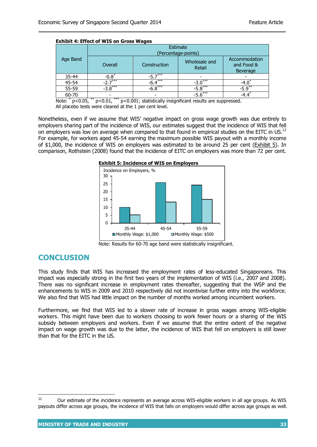| <b>Exhibit 4: Effect of WIS on Gross Wages</b> |                                 |              |                         |                                                |  |
|------------------------------------------------|---------------------------------|--------------|-------------------------|------------------------------------------------|--|
| Age Band                                       | Estimate<br>(Percentage-points) |              |                         |                                                |  |
|                                                | Overall                         | Construction | Wholesale and<br>Retail | Accommodation<br>and Food &<br><b>Beverage</b> |  |
| $35 - 44$                                      | $-0.8$ <sup>*</sup>             | $-5.7***$    |                         |                                                |  |
| 45-54                                          | $-2\overline{7^{***}}$          | $-6.4***$    | ***<br>$-3.0$           | $-4.0^{\circ}$                                 |  |
| 55-59                                          | $-3.8***$                       | $-6.8***$    | $-5.8***$               | $-5.9***$                                      |  |
| 60-70                                          |                                 |              | $-5.6***$               | -4.4 $*$                                       |  |

Note: \* p<0.05, \*\* p<0.01, \*\*\* p<0.001; statistically insignificant results are suppressed. All placebo tests were cleared at the 1 per cent level.

Nonetheless, even if we assume that WIS' negative impact on gross wage growth was due entirely to employers sharing part of the incidence of WIS, our estimates suggest that the incidence of WIS that fell on employers was low on average when compared to that found in empirical studies on the EITC in US.<sup>12</sup> For example, for workers aged 45-54 earning the maximum possible WIS payout with a monthly income of \$1,000, the incidence of WIS on employers was estimated to be around 25 per cent (Exhibit 5). In comparison, Rothstein (2008) found that the incidence of EITC on employers was more than 72 per cent.





## **CONCLUSION**

This study finds that WIS has increased the employment rates of less-educated Singaporeans. This impact was especially strong in the first two years of the implementation of WIS (i.e., 2007 and 2008). There was no significant increase in employment rates thereafter, suggesting that the WSP and the enhancements to WIS in 2009 and 2010 respectively did not incentivise further entry into the workforce. We also find that WIS had little impact on the number of months worked among incumbent workers.

Furthermore, we find that WIS led to a slower rate of increase in gross wages among WIS-eligible workers. This might have been due to workers choosing to work fewer hours or a sharing of the WIS subsidy between employers and workers. Even if we assume that the entire extent of the negative impact on wage growth was due to the latter, the incidence of WIS that fell on employers is still lower than that for the EITC in the US.

Note: Results for 60-70 age band were statistically insignificant.

 $12$ <sup>12</sup> Our estimate of the incidence represents an average across WIS-eligible workers in all age groups. As WIS payouts differ across age groups, the incidence of WIS that falls on employers would differ across age groups as well.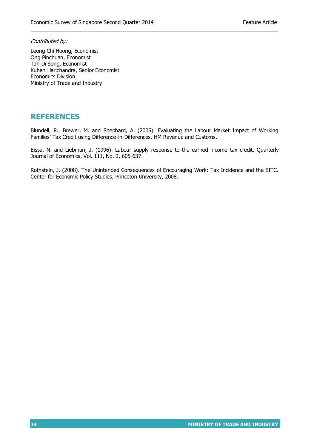Contributed by:

Leong Chi Hoong, Economist Ong Pinchuan, Economist Tan Di Song, Economist Kuhan Harichandra, Senior Economist Economics Division Ministry of Trade and Industry

## **REFERENCES**

Blundell, R., Brewer, M. and Shephard, A. (2005). Evaluating the Labour Market Impact of Working Families' Tax Credit using Difference-in-Differences. HM Revenue and Customs.

Eissa, N. and Liebman, J. (1996). Labour supply response to the earned income tax credit. Quarterly Journal of Economics, Vol. 111, No. 2, 605-637.

Rothstein, J. (2008). The Unintended Consequences of Encouraging Work: Tax Incidence and the EITC. Center for Economic Policy Studies, Princeton University, 2008.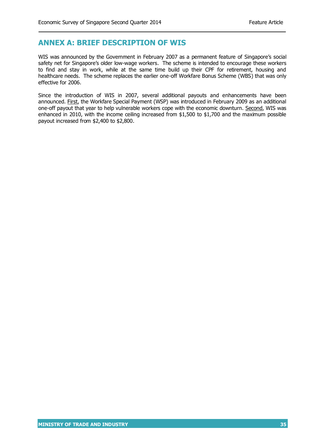## **ANNEX A: BRIEF DESCRIPTION OF WIS**

WIS was announced by the Government in February 2007 as a permanent feature of Singapore's social safety net for Singapore's older low-wage workers. The scheme is intended to encourage these workers to find and stay in work, while at the same time build up their CPF for retirement, housing and healthcare needs. The scheme replaces the earlier one-off Workfare Bonus Scheme (WBS) that was only effective for 2006.

Since the introduction of WIS in 2007, several additional payouts and enhancements have been announced. First, the Workfare Special Payment (WSP) was introduced in February 2009 as an additional one-off payout that year to help vulnerable workers cope with the economic downturn. Second, WIS was enhanced in 2010, with the income ceiling increased from \$1,500 to \$1,700 and the maximum possible payout increased from \$2,400 to \$2,800.